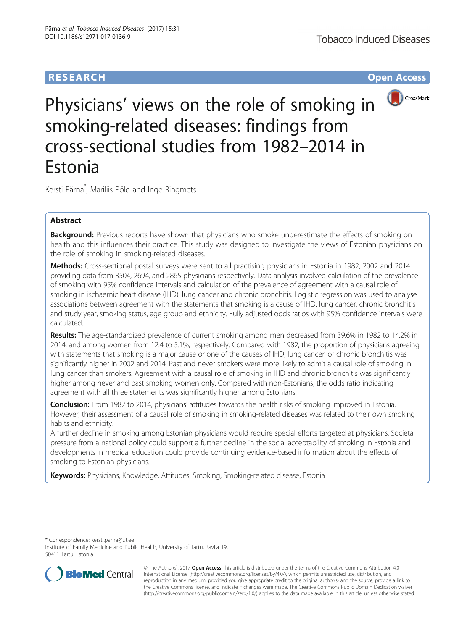# **RESEARCH CHE Open Access**



Physicians' views on the role of smoking in smoking-related diseases: findings from cross-sectional studies from 1982–2014 in Estonia

Kersti Pärna\* , Mariliis Põld and Inge Ringmets

## Abstract

**Background:** Previous reports have shown that physicians who smoke underestimate the effects of smoking on health and this influences their practice. This study was designed to investigate the views of Estonian physicians on the role of smoking in smoking-related diseases.

Methods: Cross-sectional postal surveys were sent to all practising physicians in Estonia in 1982, 2002 and 2014 providing data from 3504, 2694, and 2865 physicians respectively. Data analysis involved calculation of the prevalence of smoking with 95% confidence intervals and calculation of the prevalence of agreement with a causal role of smoking in ischaemic heart disease (IHD), lung cancer and chronic bronchitis. Logistic regression was used to analyse associations between agreement with the statements that smoking is a cause of IHD, lung cancer, chronic bronchitis and study year, smoking status, age group and ethnicity. Fully adjusted odds ratios with 95% confidence intervals were calculated.

Results: The age-standardized prevalence of current smoking among men decreased from 39.6% in 1982 to 14.2% in 2014, and among women from 12.4 to 5.1%, respectively. Compared with 1982, the proportion of physicians agreeing with statements that smoking is a major cause or one of the causes of IHD, lung cancer, or chronic bronchitis was significantly higher in 2002 and 2014. Past and never smokers were more likely to admit a causal role of smoking in lung cancer than smokers. Agreement with a causal role of smoking in IHD and chronic bronchitis was significantly higher among never and past smoking women only. Compared with non-Estonians, the odds ratio indicating agreement with all three statements was significantly higher among Estonians.

**Conclusion:** From 1982 to 2014, physicians' attitudes towards the health risks of smoking improved in Estonia. However, their assessment of a causal role of smoking in smoking-related diseases was related to their own smoking habits and ethnicity.

A further decline in smoking among Estonian physicians would require special efforts targeted at physicians. Societal pressure from a national policy could support a further decline in the social acceptability of smoking in Estonia and developments in medical education could provide continuing evidence-based information about the effects of smoking to Estonian physicians.

Keywords: Physicians, Knowledge, Attitudes, Smoking, Smoking-related disease, Estonia

\* Correspondence: [kersti.parna@ut.ee](mailto:kersti.parna@ut.ee)

Institute of Family Medicine and Public Health, University of Tartu, Ravila 19, 50411 Tartu, Estonia



© The Author(s). 2017 **Open Access** This article is distributed under the terms of the Creative Commons Attribution 4.0 International License [\(http://creativecommons.org/licenses/by/4.0/](http://creativecommons.org/licenses/by/4.0/)), which permits unrestricted use, distribution, and reproduction in any medium, provided you give appropriate credit to the original author(s) and the source, provide a link to the Creative Commons license, and indicate if changes were made. The Creative Commons Public Domain Dedication waiver [\(http://creativecommons.org/publicdomain/zero/1.0/](http://creativecommons.org/publicdomain/zero/1.0/)) applies to the data made available in this article, unless otherwise stated.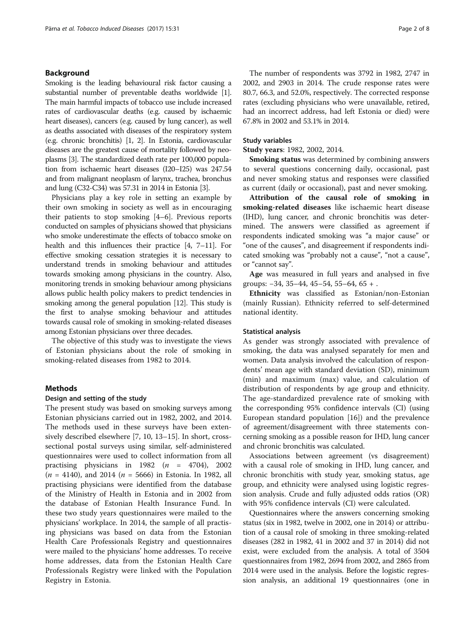## Background

Smoking is the leading behavioural risk factor causing a substantial number of preventable deaths worldwide [[1](#page-7-0)]. The main harmful impacts of tobacco use include increased rates of cardiovascular deaths (e.g. caused by ischaemic heart diseases), cancers (e.g. caused by lung cancer), as well as deaths associated with diseases of the respiratory system (e.g. chronic bronchitis) [[1](#page-7-0), [2\]](#page-7-0). In Estonia, cardiovascular diseases are the greatest cause of mortality followed by neoplasms [\[3\]](#page-7-0). The standardized death rate per 100,000 population from ischaemic heart diseases (I20–I25) was 247.54 and from malignant neoplasm of larynx, trachea, bronchus and lung (C32-C34) was 57.31 in 2014 in Estonia [[3](#page-7-0)].

Physicians play a key role in setting an example by their own smoking in society as well as in encouraging their patients to stop smoking [[4](#page-7-0)–[6](#page-7-0)]. Previous reports conducted on samples of physicians showed that physicians who smoke underestimate the effects of tobacco smoke on health and this influences their practice [\[4, 7](#page-7-0)–[11\]](#page-7-0). For effective smoking cessation strategies it is necessary to understand trends in smoking behaviour and attitudes towards smoking among physicians in the country. Also, monitoring trends in smoking behaviour among physicians allows public health policy makers to predict tendencies in smoking among the general population [\[12](#page-7-0)]. This study is the first to analyse smoking behaviour and attitudes towards causal role of smoking in smoking-related diseases among Estonian physicians over three decades.

The objective of this study was to investigate the views of Estonian physicians about the role of smoking in smoking-related diseases from 1982 to 2014.

## Methods

## Design and setting of the study

The present study was based on smoking surveys among Estonian physicians carried out in 1982, 2002, and 2014. The methods used in these surveys have been extensively described elsewhere [\[7](#page-7-0), [10](#page-7-0), [13](#page-7-0)–[15\]](#page-7-0). In short, crosssectional postal surveys using similar, self-administered questionnaires were used to collect information from all practising physicians in 1982 ( $n = 4704$ ), 2002  $(n = 4140)$ , and 2014  $(n = 5666)$  in Estonia. In 1982, all practising physicians were identified from the database of the Ministry of Health in Estonia and in 2002 from the database of Estonian Health Insurance Fund. In these two study years questionnaires were mailed to the physicians' workplace. In 2014, the sample of all practising physicians was based on data from the Estonian Health Care Professionals Registry and questionnaires were mailed to the physicians' home addresses. To receive home addresses, data from the Estonian Health Care Professionals Registry were linked with the Population Registry in Estonia.

The number of respondents was 3792 in 1982, 2747 in 2002, and 2903 in 2014. The crude response rates were 80.7, 66.3, and 52.0%, respectively. The corrected response rates (excluding physicians who were unavailable, retired, had an incorrect address, had left Estonia or died) were 67.8% in 2002 and 53.1% in 2014.

## Study variables

## Study years: 1982, 2002, 2014.

Smoking status was determined by combining answers to several questions concerning daily, occasional, past and never smoking status and responses were classified as current (daily or occasional), past and never smoking.

Attribution of the causal role of smoking in smoking-related diseases like ischaemic heart disease (IHD), lung cancer, and chronic bronchitis was determined. The answers were classified as agreement if respondents indicated smoking was "a major cause" or "one of the causes", and disagreement if respondents indicated smoking was "probably not a cause", "not a cause", or "cannot say".

Age was measured in full years and analysed in five groups: −34, 35–44, 45–54, 55–64, 65 + .

Ethnicity was classified as Estonian/non-Estonian (mainly Russian). Ethnicity referred to self-determined national identity.

### Statistical analysis

As gender was strongly associated with prevalence of smoking, the data was analysed separately for men and women. Data analysis involved the calculation of respondents' mean age with standard deviation (SD), minimum (min) and maximum (max) value, and calculation of distribution of respondents by age group and ethnicity. The age-standardized prevalence rate of smoking with the corresponding 95% confidence intervals (CI) (using European standard population [[16](#page-7-0)]) and the prevalence of agreement/disagreement with three statements concerning smoking as a possible reason for IHD, lung cancer and chronic bronchitis was calculated.

Associations between agreement (vs disagreement) with a causal role of smoking in IHD, lung cancer, and chronic bronchitis with study year, smoking status, age group, and ethnicity were analysed using logistic regression analysis. Crude and fully adjusted odds ratios (OR) with 95% confidence intervals (CI) were calculated.

Questionnaires where the answers concerning smoking status (six in 1982, twelve in 2002, one in 2014) or attribution of a causal role of smoking in three smoking-related diseases (282 in 1982, 41 in 2002 and 37 in 2014) did not exist, were excluded from the analysis. A total of 3504 questionnaires from 1982, 2694 from 2002, and 2865 from 2014 were used in the analysis. Before the logistic regression analysis, an additional 19 questionnaires (one in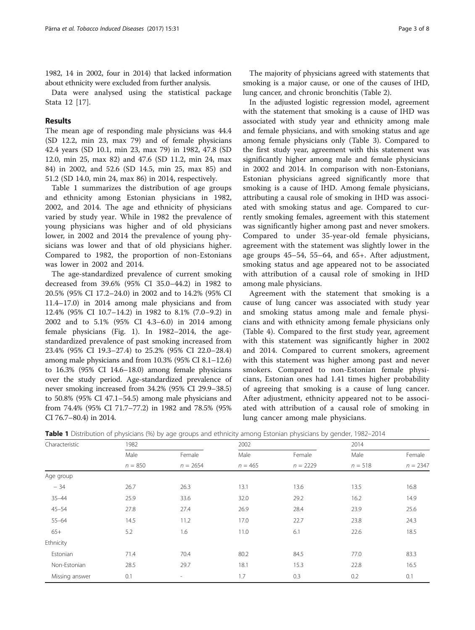1982, 14 in 2002, four in 2014) that lacked information about ethnicity were excluded from further analysis.

Data were analysed using the statistical package Stata 12 [\[17](#page-7-0)].

## Results

The mean age of responding male physicians was 44.4 (SD 12.2, min 23, max 79) and of female physicians 42.4 years (SD 10.1, min 23, max 79) in 1982, 47.8 (SD 12.0, min 25, max 82) and 47.6 (SD 11.2, min 24, max 84) in 2002, and 52.6 (SD 14.5, min 25, max 85) and 51.2 (SD 14.0, min 24, max 86) in 2014, respectively.

Table 1 summarizes the distribution of age groups and ethnicity among Estonian physicians in 1982, 2002, and 2014. The age and ethnicity of physicians varied by study year. While in 1982 the prevalence of young physicians was higher and of old physicians lower, in 2002 and 2014 the prevalence of young physicians was lower and that of old physicians higher. Compared to 1982, the proportion of non-Estonians was lower in 2002 and 2014.

The age-standardized prevalence of current smoking decreased from 39.6% (95% CI 35.0–44.2) in 1982 to 20.5% (95% CI 17.2–24.0) in 2002 and to 14.2% (95% CI 11.4–17.0) in 2014 among male physicians and from 12.4% (95% CI 10.7–14.2) in 1982 to 8.1% (7.0–9.2) in 2002 and to 5.1% (95% CI 4.3–6.0) in 2014 among female physicians (Fig. [1\)](#page-3-0). In 1982–2014, the agestandardized prevalence of past smoking increased from 23.4% (95% CI 19.3–27.4) to 25.2% (95% CI 22.0–28.4) among male physicians and from 10.3% (95% CI 8.1–12.6) to 16.3% (95% CI 14.6–18.0) among female physicians over the study period. Age-standardized prevalence of never smoking increased from 34.2% (95% CI 29.9–38.5) to 50.8% (95% CI 47.1–54.5) among male physicians and from 74.4% (95% CI 71.7–77.2) in 1982 and 78.5% (95% CI 76.7–80.4) in 2014.

The majority of physicians agreed with statements that smoking is a major cause, or one of the causes of IHD, lung cancer, and chronic bronchitis (Table [2\)](#page-3-0).

In the adjusted logistic regression model, agreement with the statement that smoking is a cause of IHD was associated with study year and ethnicity among male and female physicians, and with smoking status and age among female physicians only (Table [3\)](#page-4-0). Compared to the first study year, agreement with this statement was significantly higher among male and female physicians in 2002 and 2014. In comparison with non-Estonians, Estonian physicians agreed significantly more that smoking is a cause of IHD. Among female physicians, attributing a causal role of smoking in IHD was associated with smoking status and age. Compared to currently smoking females, agreement with this statement was significantly higher among past and never smokers. Compared to under 35-year-old female physicians, agreement with the statement was slightly lower in the age groups 45–54, 55–64, and 65+. After adjustment, smoking status and age appeared not to be associated with attribution of a causal role of smoking in IHD among male physicians.

Agreement with the statement that smoking is a cause of lung cancer was associated with study year and smoking status among male and female physicians and with ethnicity among female physicians only (Table [4\)](#page-4-0). Compared to the first study year, agreement with this statement was significantly higher in 2002 and 2014. Compared to current smokers, agreement with this statement was higher among past and never smokers. Compared to non-Estonian female physicians, Estonian ones had 1.41 times higher probability of agreeing that smoking is a cause of lung cancer. After adjustment, ethnicity appeared not to be associated with attribution of a causal role of smoking in lung cancer among male physicians.

| Characteristic | 1982      |                          | 2002      |            | 2014      |            |  |
|----------------|-----------|--------------------------|-----------|------------|-----------|------------|--|
|                | Male      | Female                   | Male      | Female     | Male      | Female     |  |
|                | $n = 850$ | $n = 2654$               | $n = 465$ | $n = 2229$ | $n = 518$ | $n = 2347$ |  |
| Age group      |           |                          |           |            |           |            |  |
| $-34$          | 26.7      | 26.3                     | 13.1      | 13.6       | 13.5      | 16.8       |  |
| $35 - 44$      | 25.9      | 33.6                     | 32.0      | 29.2       | 16.2      | 14.9       |  |
| $45 - 54$      | 27.8      | 27.4                     | 26.9      | 28.4       | 23.9      | 25.6       |  |
| $55 - 64$      | 14.5      | 11.2                     | 17.0      | 22.7       | 23.8      | 24.3       |  |
| $65+$          | 5.2       | 1.6                      | 11.0      | 6.1        | 22.6      | 18.5       |  |
| Ethnicity      |           |                          |           |            |           |            |  |
| Estonian       | 71.4      | 70.4                     | 80.2      | 84.5       | 77.0      | 83.3       |  |
| Non-Estonian   | 28.5      | 29.7                     | 18.1      | 15.3       | 22.8      | 16.5       |  |
| Missing answer | 0.1       | $\overline{\phantom{a}}$ | 1.7       | 0.3        | 0.2       | 0.1        |  |

Table 1 Distribution of physicians (%) by age groups and ethnicity among Estonian physicians by gender, 1982–2014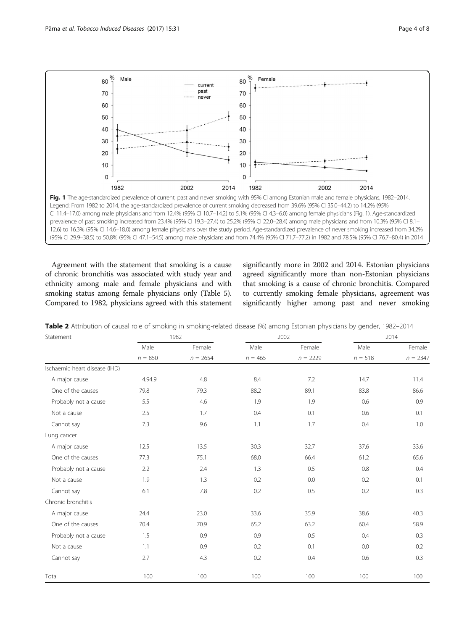<span id="page-3-0"></span>

Agreement with the statement that smoking is a cause of chronic bronchitis was associated with study year and ethnicity among male and female physicians and with smoking status among female physicians only (Table [5](#page-5-0)). Compared to 1982, physicians agreed with this statement significantly more in 2002 and 2014. Estonian physicians agreed significantly more than non-Estonian physicians that smoking is a cause of chronic bronchitis. Compared to currently smoking female physicians, agreement was significantly higher among past and never smoking

| Statement                     |           | 1982       |           | 2002       | 2014      |            |  |
|-------------------------------|-----------|------------|-----------|------------|-----------|------------|--|
|                               | Male      | Female     | Male      | Female     | Male      | Female     |  |
|                               | $n = 850$ | $n = 2654$ | $n = 465$ | $n = 2229$ | $n = 518$ | $n = 2347$ |  |
| Ischaemic heart disease (IHD) |           |            |           |            |           |            |  |
| A major cause                 | 4.94.9    | 4.8        | 8.4       | 7.2        | 14.7      | 11.4       |  |
| One of the causes             | 79.8      | 79.3       | 88.2      | 89.1       | 83.8      | 86.6       |  |
| Probably not a cause          | 5.5       | 4.6        | 1.9       | 1.9        | 0.6       | 0.9        |  |
| Not a cause                   | 2.5       | 1.7        | 0.4       | 0.1        | 0.6       | 0.1        |  |
| Cannot say                    | 7.3       | 9.6        | 1.1       | 1.7        | 0.4       | 1.0        |  |
| Lung cancer                   |           |            |           |            |           |            |  |
| A major cause                 | 12.5      | 13.5       | 30.3      | 32.7       | 37.6      | 33.6       |  |
| One of the causes             | 77.3      | 75.1       | 68.0      | 66.4       | 61.2      | 65.6       |  |
| Probably not a cause          | 2.2       | 2.4        | 1.3       | 0.5        | 0.8       | 0.4        |  |
| Not a cause                   | 1.9       | 1.3        | 0.2       | 0.0        | 0.2       | 0.1        |  |
| Cannot say                    | 6.1       | 7.8        | 0.2       | 0.5        | 0.2       | 0.3        |  |
| Chronic bronchitis            |           |            |           |            |           |            |  |
| A major cause                 | 24.4      | 23.0       | 33.6      | 35.9       | 38.6      | 40.3       |  |
| One of the causes             | 70.4      | 70.9       | 65.2      | 63.2       | 60.4      | 58.9       |  |
| Probably not a cause          | 1.5       | 0.9        | 0.9       | 0.5        | 0.4       | 0.3        |  |
| Not a cause                   | 1.1       | 0.9        | 0.2       | 0.1        | 0.0       | 0.2        |  |
| Cannot say                    | 2.7       | 4.3        | 0.2       | 0.4        | 0.6       | 0.3        |  |
| Total                         | 100       | 100        | 100       | 100        | 100       | 100        |  |

Table 2 Attribution of causal role of smoking in smoking-related disease (%) among Estonian physicians by gender, 1982–2014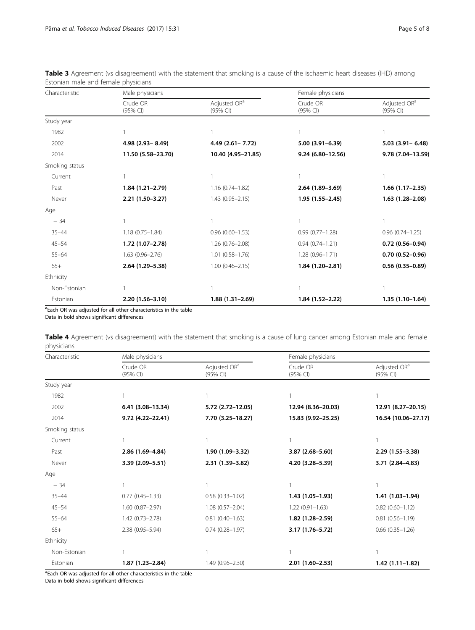| Characteristic | Male physicians      |                                      | Female physicians    |                                      |  |
|----------------|----------------------|--------------------------------------|----------------------|--------------------------------------|--|
|                | Crude OR<br>(95% CI) | Adjusted OR <sup>a</sup><br>(95% CI) | Crude OR<br>(95% CI) | Adjusted OR <sup>a</sup><br>(95% Cl) |  |
| Study year     |                      |                                      |                      |                                      |  |
| 1982           |                      |                                      |                      |                                      |  |
| 2002           | 4.98 (2.93 - 8.49)   | 4.49 (2.61 - 7.72)                   | $5.00(3.91 - 6.39)$  | $5.03$ $(3.91 - 6.48)$               |  |
| 2014           | 11.50 (5.58-23.70)   | 10.40 (4.95-21.85)                   | 9.24 (6.80-12.56)    | 9.78 (7.04-13.59)                    |  |
| Smoking status |                      |                                      |                      |                                      |  |
| Current        |                      |                                      |                      |                                      |  |
| Past           | $1.84(1.21 - 2.79)$  | 1.16 (0.74-1.82)                     | 2.64 (1.89-3.69)     | $1.66(1.17-2.35)$                    |  |
| Never          | 2.21 (1.50-3.27)     | $1.43(0.95 - 2.15)$                  | $1.95(1.55 - 2.45)$  | $1.63(1.28-2.08)$                    |  |
| Age            |                      |                                      |                      |                                      |  |
| $-34$          |                      |                                      |                      |                                      |  |
| $35 - 44$      | $1.18(0.75 - 1.84)$  | $0.96(0.60 - 1.53)$                  | $0.99(0.77 - 1.28)$  | $0.96(0.74 - 1.25)$                  |  |
| $45 - 54$      | 1.72 (1.07-2.78)     | 1.26 (0.76-2.08)                     | $0.94(0.74 - 1.21)$  | $0.72(0.56 - 0.94)$                  |  |
| $55 - 64$      | $1.63(0.96 - 2.76)$  | $1.01$ $(0.58 - 1.76)$               | $1.28(0.96 - 1.71)$  | $0.70(0.52 - 0.96)$                  |  |
| $65+$          | 2.64 (1.29-5.38)     | $1.00(0.46 - 2.15)$                  | 1.84 (1.20-2.81)     | $0.56(0.35-0.89)$                    |  |
| Ethnicity      |                      |                                      |                      |                                      |  |
| Non-Estonian   |                      |                                      |                      |                                      |  |
| Estonian       | $2.20(1.56 - 3.10)$  | $1.88(1.31 - 2.69)$                  | 1.84 (1.52-2.22)     | $1.35(1.10-1.64)$                    |  |

<span id="page-4-0"></span>

|  | Table 3 Agreement (vs disagreement) with the statement that smoking is a cause of the ischaemic heart diseases (IHD) among |  |  |  |  |  |
|--|----------------------------------------------------------------------------------------------------------------------------|--|--|--|--|--|
|  | Estonian male and female physicians                                                                                        |  |  |  |  |  |

<sup>a</sup> Each OR was adjusted for all other characteristics in the table

Data in bold shows significant differences

|            | Table 4 Agreement (vs disagreement) with the statement that smoking is a cause of lung cancer among Estonian male and female |  |  |  |  |  |  |
|------------|------------------------------------------------------------------------------------------------------------------------------|--|--|--|--|--|--|
| physicians |                                                                                                                              |  |  |  |  |  |  |

| Characteristic | Male physicians        |                                      | Female physicians      |                                      |  |  |
|----------------|------------------------|--------------------------------------|------------------------|--------------------------------------|--|--|
|                | Crude OR<br>(95% CI)   | Adjusted OR <sup>a</sup><br>(95% CI) | Crude OR<br>$(95%$ CI) | Adjusted OR <sup>a</sup><br>(95% CI) |  |  |
| Study year     |                        |                                      |                        |                                      |  |  |
| 1982           |                        |                                      |                        |                                      |  |  |
| 2002           | 6.41 (3.08-13.34)      | 5.72 (2.72-12.05)                    | 12.94 (8.36-20.03)     | 12.91 (8.27-20.15)                   |  |  |
| 2014           | 9.72 (4.22-22.41)      | 7.70 (3.25-18.27)                    | 15.83 (9.92-25.25)     | 16.54 (10.06-27.17)                  |  |  |
| Smoking status |                        |                                      |                        |                                      |  |  |
| Current        |                        |                                      |                        |                                      |  |  |
| Past           | 2.86 (1.69-4.84)       | 1.90 (1.09-3.32)                     | $3.87(2.68 - 5.60)$    | 2.29 (1.55-3.38)                     |  |  |
| Never          | 3.39 (2.09-5.51)       | 2.31 (1.39-3.82)                     | 4.20 (3.28-5.39)       | 3.71 (2.84-4.83)                     |  |  |
| Age            |                        |                                      |                        |                                      |  |  |
| $-34$          |                        |                                      |                        |                                      |  |  |
| $35 - 44$      | $0.77$ $(0.45 - 1.33)$ | $0.58$ $(0.33 - 1.02)$               | $1.43(1.05-1.93)$      | $1.41(1.03 - 1.94)$                  |  |  |
| $45 - 54$      | $1.60(0.87 - 2.97)$    | $1.08(0.57 - 2.04)$                  | $1.22(0.91 - 1.63)$    | $0.82(0.60 - 1.12)$                  |  |  |
| $55 - 64$      | $1.42(0.73 - 2.78)$    | $0.81(0.40 - 1.63)$                  | 1.82 (1.28-2.59)       | $0.81(0.56 - 1.19)$                  |  |  |
| $65+$          | 2.38 (0.95-5.94)       | $0.74(0.28 - 1.97)$                  | 3.17 (1.76-5.72)       | $0.66$ $(0.35-1.26)$                 |  |  |
| Ethnicity      |                        |                                      |                        |                                      |  |  |
| Non-Estonian   |                        |                                      |                        |                                      |  |  |
| Estonian       | $1.87(1.23 - 2.84)$    | 1.49 (0.96-2.30)                     | $2.01(1.60-2.53)$      | $1.42(1.11 - 1.82)$                  |  |  |

<sup>a</sup> Each OR was adjusted for all other characteristics in the table

Data in bold shows significant differences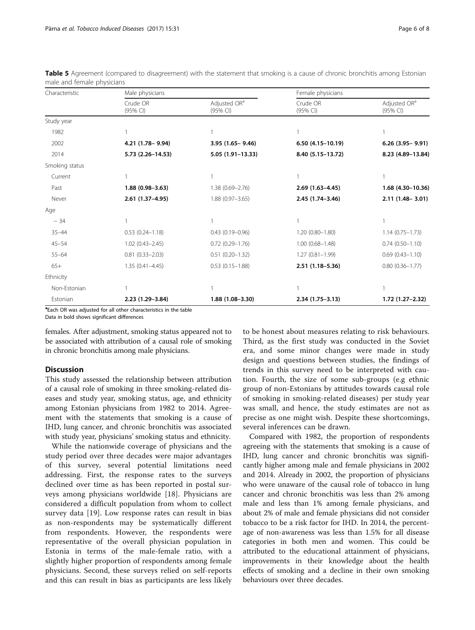| Characteristic | Male physicians        |                                      | Female physicians    |                                      |  |  |
|----------------|------------------------|--------------------------------------|----------------------|--------------------------------------|--|--|
|                | Crude OR<br>(95% CI)   | Adjusted OR <sup>a</sup><br>(95% CI) | Crude OR<br>(95% CI) | Adjusted OR <sup>a</sup><br>(95% CI) |  |  |
| Study year     |                        |                                      |                      |                                      |  |  |
| 1982           |                        |                                      |                      |                                      |  |  |
| 2002           | 4.21 (1.78 - 9.94)     | $3.95(1.65 - 9.46)$                  | $6.50(4.15-10.19)$   | $6.26$ (3.95 - 9.91)                 |  |  |
| 2014           | 5.73 (2.26-14.53)      | $5.05(1.91 - 13.33)$                 | 8.40 (5.15-13.72)    | 8.23 (4.89-13.84)                    |  |  |
| Smoking status |                        |                                      |                      |                                      |  |  |
| Current        |                        |                                      |                      |                                      |  |  |
| Past           | $1.88(0.98 - 3.63)$    | $1.38(0.69 - 2.76)$                  | $2.69(1.63 - 4.45)$  | 1.68 (4.30-10.36)                    |  |  |
| Never          | $2.61(1.37-4.95)$      | $1.88(0.97 - 3.65)$                  | 2.45 (1.74-3.46)     | $2.11(1.48 - 3.01)$                  |  |  |
| Age            |                        |                                      |                      |                                      |  |  |
| $-34$          |                        |                                      |                      |                                      |  |  |
| $35 - 44$      | $0.53$ $(0.24 - 1.18)$ | $0.43(0.19 - 0.96)$                  | $1.20(0.80 - 1.80)$  | $1.14(0.75 - 1.73)$                  |  |  |
| $45 - 54$      | $1.02$ $(0.43 - 2.45)$ | $0.72(0.29 - 1.76)$                  | $1.00(0.68 - 1.48)$  | $0.74(0.50 - 1.10)$                  |  |  |
| $55 - 64$      | $0.81(0.33 - 2.03)$    | $0.51(0.20 - 1.32)$                  | $1.27(0.81 - 1.99)$  | $0.69(0.43 - 1.10)$                  |  |  |
| $65+$          | $1.35(0.41 - 4.45)$    | $0.53(0.15-1.88)$                    | $2.51(1.18 - 5.36)$  | $0.80(0.36 - 1.77)$                  |  |  |
| Ethnicity      |                        |                                      |                      |                                      |  |  |
| Non-Estonian   |                        |                                      |                      |                                      |  |  |
| Estonian       | 2.23 (1.29-3.84)       | $1.88(1.08 - 3.30)$                  | $2.34(1.75 - 3.13)$  | $1.72(1.27 - 2.32)$                  |  |  |

<span id="page-5-0"></span>Table 5 Agreement (compared to disagreement) with the statement that smoking is a cause of chronic bronchitis among Estonian male and female physicians

<sup>a</sup> Each OR was adjusted for all other characteristics in the table

Data in bold shows significant differences

females. After adjustment, smoking status appeared not to be associated with attribution of a causal role of smoking in chronic bronchitis among male physicians.

## **Discussion**

This study assessed the relationship between attribution of a causal role of smoking in three smoking-related diseases and study year, smoking status, age, and ethnicity among Estonian physicians from 1982 to 2014. Agreement with the statements that smoking is a cause of IHD, lung cancer, and chronic bronchitis was associated with study year, physicians' smoking status and ethnicity.

While the nationwide coverage of physicians and the study period over three decades were major advantages of this survey, several potential limitations need addressing. First, the response rates to the surveys declined over time as has been reported in postal surveys among physicians worldwide [[18](#page-7-0)]. Physicians are considered a difficult population from whom to collect survey data [[19](#page-7-0)]. Low response rates can result in bias as non-respondents may be systematically different from respondents. However, the respondents were representative of the overall physician population in Estonia in terms of the male-female ratio, with a slightly higher proportion of respondents among female physicians. Second, these surveys relied on self-reports and this can result in bias as participants are less likely

to be honest about measures relating to risk behaviours. Third, as the first study was conducted in the Soviet era, and some minor changes were made in study design and questions between studies, the findings of trends in this survey need to be interpreted with caution. Fourth, the size of some sub-groups (e.g ethnic group of non-Estonians by attitudes towards causal role of smoking in smoking-related diseases) per study year was small, and hence, the study estimates are not as precise as one might wish. Despite these shortcomings, several inferences can be drawn.

Compared with 1982, the proportion of respondents agreeing with the statements that smoking is a cause of IHD, lung cancer and chronic bronchitis was significantly higher among male and female physicians in 2002 and 2014. Already in 2002, the proportion of physicians who were unaware of the causal role of tobacco in lung cancer and chronic bronchitis was less than 2% among male and less than 1% among female physicians, and about 2% of male and female physicians did not consider tobacco to be a risk factor for IHD. In 2014, the percentage of non-awareness was less than 1.5% for all disease categories in both men and women. This could be attributed to the educational attainment of physicians, improvements in their knowledge about the health effects of smoking and a decline in their own smoking behaviours over three decades.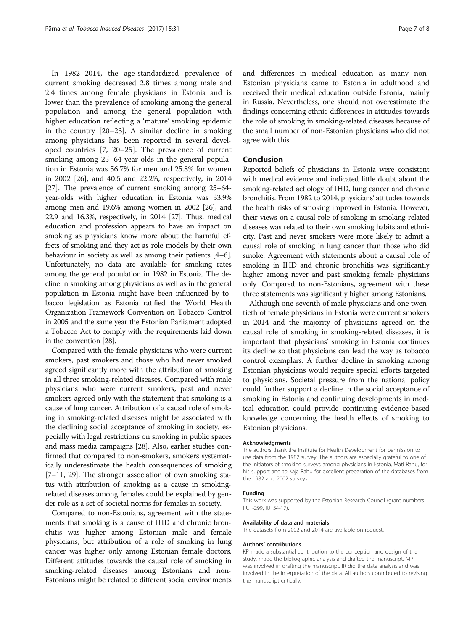In 1982–2014, the age-standardized prevalence of current smoking decreased 2.8 times among male and 2.4 times among female physicians in Estonia and is lower than the prevalence of smoking among the general population and among the general population with higher education reflecting a 'mature' smoking epidemic in the country [[20](#page-7-0)–[23](#page-7-0)]. A similar decline in smoking among physicians has been reported in several developed countries [\[7](#page-7-0), [20](#page-7-0)–[25](#page-7-0)]. The prevalence of current smoking among 25–64-year-olds in the general population in Estonia was 56.7% for men and 25.8% for women in 2002 [[26\]](#page-7-0), and 40.5 and 22.2%, respectively, in 2014 [[27\]](#page-7-0). The prevalence of current smoking among 25–64 year-olds with higher education in Estonia was 33.9% among men and 19.6% among women in 2002 [\[26\]](#page-7-0), and 22.9 and 16.3%, respectively, in 2014 [[27](#page-7-0)]. Thus, medical education and profession appears to have an impact on smoking as physicians know more about the harmful effects of smoking and they act as role models by their own behaviour in society as well as among their patients [\[4](#page-7-0)–[6](#page-7-0)]. Unfortunately, no data are available for smoking rates among the general population in 1982 in Estonia. The decline in smoking among physicians as well as in the general population in Estonia might have been influenced by tobacco legislation as Estonia ratified the World Health Organization Framework Convention on Tobacco Control in 2005 and the same year the Estonian Parliament adopted a Tobacco Act to comply with the requirements laid down in the convention [\[28\]](#page-7-0).

Compared with the female physicians who were current smokers, past smokers and those who had never smoked agreed significantly more with the attribution of smoking in all three smoking-related diseases. Compared with male physicians who were current smokers, past and never smokers agreed only with the statement that smoking is a cause of lung cancer. Attribution of a causal role of smoking in smoking-related diseases might be associated with the declining social acceptance of smoking in society, especially with legal restrictions on smoking in public spaces and mass media campaigns [\[28](#page-7-0)]. Also, earlier studies confirmed that compared to non-smokers, smokers systematically underestimate the health consequences of smoking [[7](#page-7-0)–[11](#page-7-0), [29](#page-7-0)]. The stronger association of own smoking status with attribution of smoking as a cause in smokingrelated diseases among females could be explained by gender role as a set of societal norms for females in society.

Compared to non-Estonians, agreement with the statements that smoking is a cause of IHD and chronic bronchitis was higher among Estonian male and female physicians, but attribution of a role of smoking in lung cancer was higher only among Estonian female doctors. Different attitudes towards the causal role of smoking in smoking-related diseases among Estonians and non-Estonians might be related to different social environments and differences in medical education as many non-Estonian physicians came to Estonia in adulthood and received their medical education outside Estonia, mainly in Russia. Nevertheless, one should not overestimate the findings concerning ethnic differences in attitudes towards the role of smoking in smoking-related diseases because of the small number of non-Estonian physicians who did not agree with this.

## Conclusion

Reported beliefs of physicians in Estonia were consistent with medical evidence and indicated little doubt about the smoking-related aetiology of IHD, lung cancer and chronic bronchitis. From 1982 to 2014, physicians' attitudes towards the health risks of smoking improved in Estonia. However, their views on a causal role of smoking in smoking-related diseases was related to their own smoking habits and ethnicity. Past and never smokers were more likely to admit a causal role of smoking in lung cancer than those who did smoke. Agreement with statements about a causal role of smoking in IHD and chronic bronchitis was significantly higher among never and past smoking female physicians only. Compared to non-Estonians, agreement with these three statements was significantly higher among Estonians.

Although one-seventh of male physicians and one twentieth of female physicians in Estonia were current smokers in 2014 and the majority of physicians agreed on the causal role of smoking in smoking-related diseases, it is important that physicians' smoking in Estonia continues its decline so that physicians can lead the way as tobacco control exemplars. A further decline in smoking among Estonian physicians would require special efforts targeted to physicians. Societal pressure from the national policy could further support a decline in the social acceptance of smoking in Estonia and continuing developments in medical education could provide continuing evidence-based knowledge concerning the health effects of smoking to Estonian physicians.

#### Acknowledgments

The authors thank the Institute for Health Development for permission to use data from the 1982 survey. The authors are especially grateful to one of the initiators of smoking surveys among physicians in Estonia, Mati Rahu, for his support and to Kaja Rahu for excellent preparation of the databases from the 1982 and 2002 surveys.

#### Funding

This work was supported by the Estonian Research Council (grant numbers PUT-299, IUT34-17).

#### Availability of data and materials

The datasets from 2002 and 2014 are available on request.

#### Authors' contributions

KP made a substantial contribution to the conception and design of the study, made the bibliographic analysis and drafted the manuscript. MP was involved in drafting the manuscript. IR did the data analysis and was involved in the interpretation of the data. All authors contributed to revising the manuscript critically.